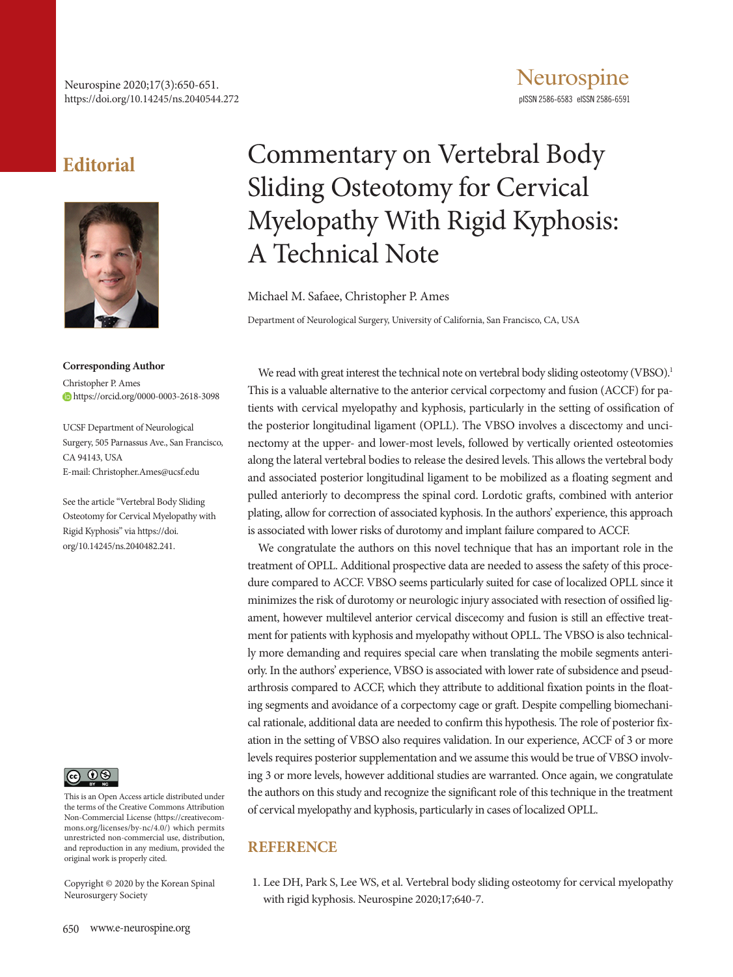## **Editorial**



**Corresponding Author** Christopher P. Ames https://orcid.org/0000-0003-2618-3098

UCSF Department of Neurological Surgery, 505 Parnassus Ave., San Francisco, CA 94143, USA E-mail: Christopher.Ames@ucsf.edu

See the article "Vertebral Body Sliding Osteotomy for Cervical Myelopathy with Rigid Kyphosis" via https://doi. org/10.14245/ns.2040482.241.



This is an Open Access article distributed under the terms of the Creative Commons Attribution Non-Commercial License (https://creativecommons.org/licenses/by-nc/4.0/) which permits unrestricted non-commercial use, distribution, and reproduction in any medium, provided the original work is properly cited.

Copyright © 2020 by the Korean Spinal Neurosurgery Society

## Commentary on Vertebral Body Sliding Osteotomy for Cervical Myelopathy With Rigid Kyphosis: A Technical Note

Michael M. Safaee, Christopher P. Ames

Department of Neurological Surgery, University of California, San Francisco, CA, USA

We read with great interest the technical note on vertebral body sliding osteotomy (VBSO).<sup>1</sup> This is a valuable alternative to the anterior cervical corpectomy and fusion (ACCF) for patients with cervical myelopathy and kyphosis, particularly in the setting of ossification of the posterior longitudinal ligament (OPLL). The VBSO involves a discectomy and uncinectomy at the upper- and lower-most levels, followed by vertically oriented osteotomies along the lateral vertebral bodies to release the desired levels. This allows the vertebral body and associated posterior longitudinal ligament to be mobilized as a floating segment and pulled anteriorly to decompress the spinal cord. Lordotic grafts, combined with anterior plating, allow for correction of associated kyphosis. In the authors' experience, this approach is associated with lower risks of durotomy and implant failure compared to ACCF.

We congratulate the authors on this novel technique that has an important role in the treatment of OPLL. Additional prospective data are needed to assess the safety of this procedure compared to ACCF. VBSO seems particularly suited for case of localized OPLL since it minimizes the risk of durotomy or neurologic injury associated with resection of ossified ligament, however multilevel anterior cervical discecomy and fusion is still an effective treatment for patients with kyphosis and myelopathy without OPLL. The VBSO is also technically more demanding and requires special care when translating the mobile segments anteriorly. In the authors' experience, VBSO is associated with lower rate of subsidence and pseudarthrosis compared to ACCF, which they attribute to additional fixation points in the floating segments and avoidance of a corpectomy cage or graft. Despite compelling biomechanical rationale, additional data are needed to confirm this hypothesis. The role of posterior fixation in the setting of VBSO also requires validation. In our experience, ACCF of 3 or more levels requires posterior supplementation and we assume this would be true of VBSO involving 3 or more levels, however additional studies are warranted. Once again, we congratulate the authors on this study and recognize the significant role of this technique in the treatment of cervical myelopathy and kyphosis, particularly in cases of localized OPLL.

## **REFERENCE**

1. Lee DH, Park S, Lee WS, et al. Vertebral body sliding osteotomy for cervical myelopathy with rigid kyphosis. Neurospine 2020;17;640-7.